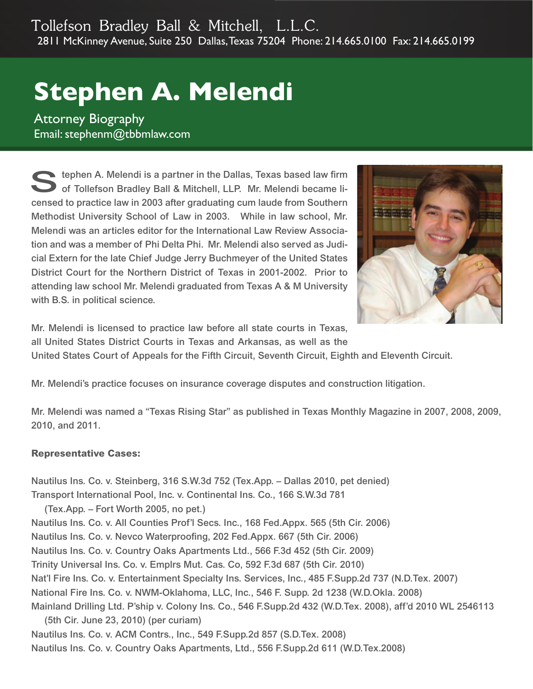## **Stephen A. Melendi**

**Attorney Biography** Email: stephenm@tbbmlaw.com

 $\blacktriangleright$  tephen A. Melendi is a partner in the Dallas, Texas based law firm of Tollefson Bradley Ball & Mitchell, LLP. Mr. Melendi became licensed to practice law in 2003 after graduating cum laude from Southern Methodist University School of Law in 2003. While in law school, Mr. Melendi was an articles editor for the International Law Review Association and was a member of Phi Delta Phi. Mr. Melendi also served as Judicial Extern for the late Chief Judge Jerry Buchmeyer of the United States District Court for the Northern District of Texas in 2001-2002. Prior to attending law school Mr. Melendi graduated from Texas A & M University with B.S. in political science.



Mr. Melendi is licensed to practice law before all state courts in Texas, all United States District Courts in Texas and Arkansas, as well as the

United States Court of Appeals for the Fifth Circuit, Seventh Circuit, Eighth and Eleventh Circuit.

Mr. Melendi's practice focuses on insurance coverage disputes and construction litigation.

Mr. Melendi was named a "Texas Rising Star" as published in Texas Monthly Magazine in 2007, 2008, 2009, 2010, and 2011.

## **Representative Cases:**

Nautilus Ins. Co. v. Steinberg, 316 S.W.3d 752 (Tex.App. – Dallas 2010, pet denied) Transport International Pool, Inc. v. Continental Ins. Co., 166 S.W.3d 781 (Tex.App. – Fort Worth 2005, no pet.) Nautilus Ins. Co. v. All Counties Prof'l Secs. Inc., 168 Fed.Appx. 565 (5th Cir. 2006) Nautilus Ins. Co. v. Nevco Waterproofing, 202 Fed.Appx. 667 (5th Cir. 2006) Nautilus Ins. Co. v. Country Oaks Apartments Ltd., 566 F.3d 452 (5th Cir. 2009) Trinity Universal Ins. Co. v. Emplrs Mut. Cas. Co, 592 F.3d 687 (5th Cir. 2010) Nat'l Fire Ins. Co. v. Entertainment Specialty Ins. Services, Inc., 485 F.Supp.2d 737 (N.D.Tex. 2007) National Fire Ins. Co. v. NWM-Oklahoma, LLC, Inc., 546 F. Supp. 2d 1238 (W.D.Okla. 2008) Mainland Drilling Ltd. P'ship v. Colony Ins. Co., 546 F.Supp.2d 432 (W.D.Tex. 2008), aff'd 2010 WL 2546113 (5th Cir. June 23, 2010) (per curiam) Nautilus Ins. Co. v. ACM Contrs., Inc., 549 F.Supp.2d 857 (S.D.Tex. 2008) Nautilus Ins. Co. v. Country Oaks Apartments, Ltd., 556 F.Supp.2d 611 (W.D.Tex.2008)